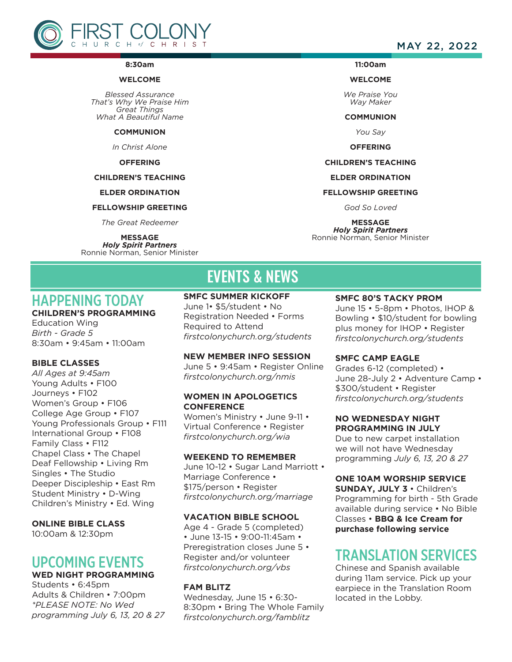

#### **8:30am**

#### **WELCOME**

*Blessed Assurance That's Why We Praise Him Great Things What A Beautiful Name*

#### **COMMUNION**

*In Christ Alone*

#### **OFFERING**

#### **CHILDREN'S TEACHING**

#### **ELDER ORDINATION**

#### **FELLOWSHIP GREETING**

*The Great Redeemer*

**MESSAGE** *Holy Spirit Partners* Ronnie Norman, Senior Minister

### MAY 22, 2022

#### **11:00am**

#### **WELCOME**

*We Praise You Way Maker*

**COMMUNION**

*You Say*

**OFFERING**

#### **CHILDREN'S TEACHING**

**ELDER ORDINATION**

#### **FELLOWSHIP GREETING**

*God So Loved*

**MESSAGE** *Holy Spirit Partners* Ronnie Norman, Senior Minister

# EVENTS & NEWS

# HAPPENING TODAY

## **CHILDREN'S PROGRAMMING**

Education Wing *Birth - Grade 5* 8:30am • 9:45am • 11:00am

#### **BIBLE CLASSES**

*All Ages at 9:45am* Young Adults · F100 Journeys • F102 Women's Group • F106 College Age Group • F107 Young Professionals Group • F111 International Group • F108 Family Class • F112 Chapel Class • The Chapel Deaf Fellowship • Living Rm Singles • The Studio Deeper Discipleship • East Rm Student Ministry • D-Wing Children's Ministry • Ed. Wing

#### **ONLINE BIBLE CLASS**

10:00am & 12:30pm

## UPCOMING EVENTS **WED NIGHT PROGRAMMING**

Students • 6:45pm

Adults & Children • 7:00pm *\*PLEASE NOTE: No Wed programming July 6, 13, 20 & 27* **SMFC SUMMER KICKOFF**

June 1• \$5/student • No Registration Needed • Forms Required to Attend *firstcolonychurch.org/students*

#### **NEW MEMBER INFO SESSION**

June 5 • 9:45am • Register Online *firstcolonychurch.org/nmis*

#### **WOMEN IN APOLOGETICS CONFERENCE**

Women's Ministry • June 9-11 • Virtual Conference • Register *firstcolonychurch.org/wia* 

#### **WEEKEND TO REMEMBER**

June 10-12 • Sugar Land Marriott • Marriage Conference • \$175/person • Register *firstcolonychurch.org/marriage*

#### **VACATION BIBLE SCHOOL**

Age 4 - Grade 5 (completed) • June 13-15 • 9:00-11:45am • Preregistration closes June 5 • Register and/or volunteer *firstcolonychurch.org/vbs*

#### **FAM BLITZ**

Wednesday, June 15 • 6:30- 8:30pm • Bring The Whole Family *firstcolonychurch.org/famblitz*

#### **SMFC 80'S TACKY PROM**

June 15 • 5-8pm • Photos, IHOP & Bowling • \$10/student for bowling plus money for IHOP • Register *firstcolonychurch.org/students* 

#### **SMFC CAMP EAGLE**

Grades 6-12 (completed) • June 28-July 2 • Adventure Camp • \$300/student • Register *firstcolonychurch.org/students* 

#### **NO WEDNESDAY NIGHT PROGRAMMING IN JULY**

Due to new carpet installation we will not have Wednesday programming *July 6, 13, 20 & 27*

#### **ONE 10AM WORSHIP SERVICE**

**SUNDAY, JULY 3** • Children's Programming for birth - 5th Grade available during service • No Bible Classes • **BBQ & Ice Cream for purchase following service** 

## TRANSLATION SERVICES

Chinese and Spanish available during 11am service. Pick up your earpiece in the Translation Room located in the Lobby.